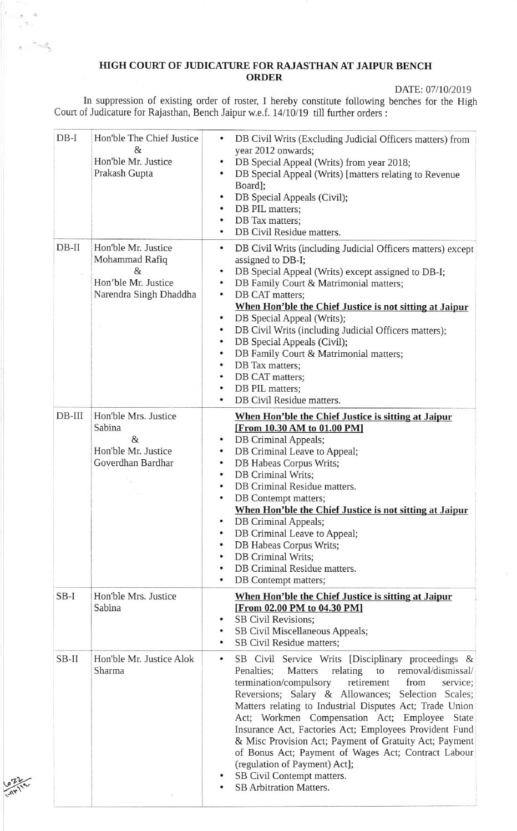## HIGH COURT OF JUDICATURE FOR RAJASTHAN AT JAIPUR BENCH ORDER

 $\frac{1}{\sqrt{2}}\left( \frac{1}{\sqrt{2}}\right) ^{2}$ 

DATE: 07/10/2019

In suppression of existing order of roster, I hereby constitute following benches for the High Court of Judicature for Rajasthan, Bench Jaipur w.e.f. 14/10/19 till further orders :

|  | $DB-I$   | Hon'ble The Chief Justice<br>&<br>Hon'ble Mr. Justice<br>Prakash Gupta                      | DB Civil Writs (Excluding Judicial Officers matters) from<br>٠<br>year 2012 onwards;<br>DB Special Appeal (Writs) from year 2018;<br>DB Special Appeal (Writs) [matters relating to Revenue<br>Board];<br>DB Special Appeals (Civil);<br>DB PIL matters;                                                                                                                                                                                                                                                                                                                                                                                    |
|--|----------|---------------------------------------------------------------------------------------------|---------------------------------------------------------------------------------------------------------------------------------------------------------------------------------------------------------------------------------------------------------------------------------------------------------------------------------------------------------------------------------------------------------------------------------------------------------------------------------------------------------------------------------------------------------------------------------------------------------------------------------------------|
|  |          |                                                                                             | DB Tax matters;<br>$\bullet$<br>DB Civil Residue matters.                                                                                                                                                                                                                                                                                                                                                                                                                                                                                                                                                                                   |
|  | $DB-II$  | Hon'ble Mr. Justice<br>Mohammad Rafiq<br>&<br>Hon'ble Mr. Justice<br>Narendra Singh Dhaddha | DB Civil Writs (including Judicial Officers matters) except<br>$\bullet$<br>assigned to DB-I;<br>DB Special Appeal (Writs) except assigned to DB-I;<br>$\bullet$<br>DB Family Court & Matrimonial matters;<br>٠<br>DB CAT matters;<br>$\bullet$<br>When Hon'ble the Chief Justice is not sitting at Jaipur<br>DB Special Appeal (Writs);<br>DB Civil Writs (including Judicial Officers matters);<br>٠<br>DB Special Appeals (Civil);<br>$\bullet$<br>DB Family Court & Matrimonial matters;<br>$\bullet$<br>DB Tax matters;<br>$\bullet$<br>DB CAT matters;<br>DB PIL matters;<br>DB Civil Residue matters.                                |
|  | $DB-III$ | Hon'ble Mrs. Justice<br>Sabina<br>$\&$<br>Hon'ble Mr. Justice<br>Goverdhan Bardhar          | When Hon'ble the Chief Justice is sitting at Jaipur<br>[From 10.30 AM to 01.00 PM]<br>DB Criminal Appeals;<br>DB Criminal Leave to Appeal;<br>٠<br>DB Habeas Corpus Writs;<br>$\bullet$<br>DB Criminal Writs;<br>٠<br>DB Criminal Residue matters.<br>DB Contempt matters;<br>When Hon'ble the Chief Justice is not sitting at Jaipur<br>DB Criminal Appeals;<br>DB Criminal Leave to Appeal;<br>DB Habeas Corpus Writs;<br>DB Criminal Writs;<br>DB Criminal Residue matters.<br>DB Contempt matters;                                                                                                                                      |
|  | $SB-I$   | Hon'ble Mrs. Justice<br>Sabina                                                              | When Hon'ble the Chief Justice is sitting at Jaipur<br>[From 02.00 PM to 04.30 PM]<br>SB Civil Revisions;<br>SB Civil Miscellaneous Appeals;<br>$\bullet$<br>SB Civil Residue matters;<br>$\bullet$                                                                                                                                                                                                                                                                                                                                                                                                                                         |
|  | $SB-II$  | Hon'ble Mr. Justice Alok<br>Sharma                                                          | SB Civil Service Writs [Disciplinary proceedings &<br>$\bullet$<br>to<br>Penalties;<br>Matters<br>relating<br>removal/dismissal/<br>termination/compulsory<br>retirement<br>from<br>service;<br>Reversions; Salary & Allowances; Selection Scales;<br>Matters relating to Industrial Disputes Act; Trade Union<br>Act; Workmen Compensation Act; Employee State<br>Insurance Act, Factories Act; Employees Provident Fund<br>& Misc Provision Act; Payment of Gratuity Act; Payment<br>of Bonus Act; Payment of Wages Act; Contract Labour<br>(regulation of Payment) Act];<br>SB Civil Contempt matters.<br><b>SB Arbitration Matters.</b> |